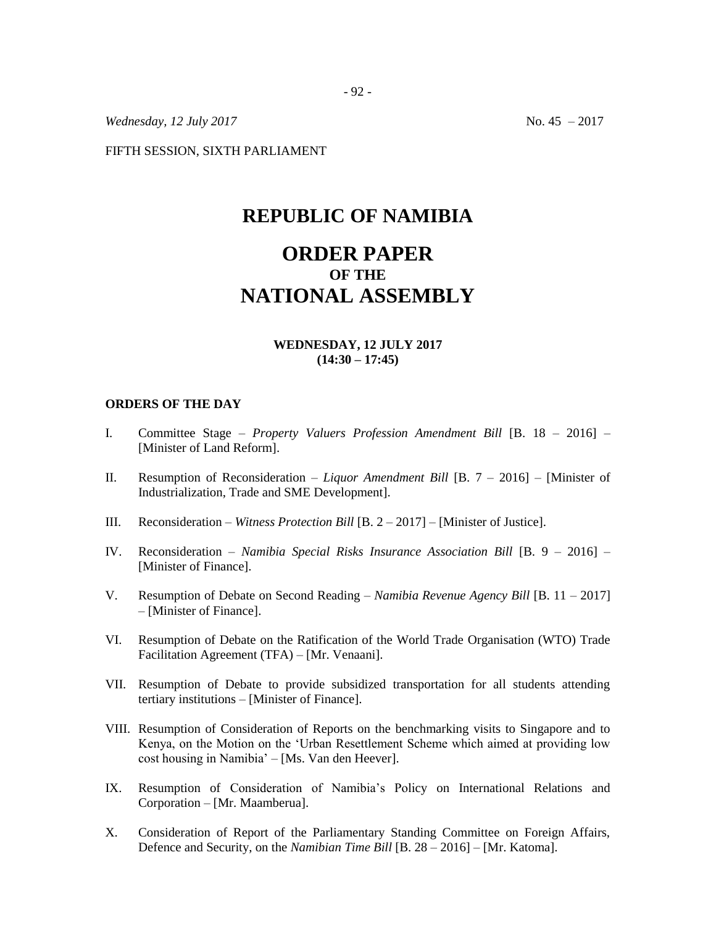*Wednesday, 12 July 2017* No. 45 – 2017

FIFTH SESSION, SIXTH PARLIAMENT

## **REPUBLIC OF NAMIBIA**

# **ORDER PAPER OF THE NATIONAL ASSEMBLY**

#### **WEDNESDAY, 12 JULY 2017 (14:30 – 17:45)**

#### **ORDERS OF THE DAY**

- I. Committee Stage *Property Valuers Profession Amendment Bill* [B. 18 2016] [Minister of Land Reform].
- II. Resumption of Reconsideration *Liquor Amendment Bill* [B. 7 2016] [Minister of Industrialization, Trade and SME Development].
- III. Reconsideration *Witness Protection Bill* [B. 2 2017] [Minister of Justice].
- IV. Reconsideration *Namibia Special Risks Insurance Association Bill* [B. 9 2016] [Minister of Finance].
- V. Resumption of Debate on Second Reading *Namibia Revenue Agency Bill* [B. 11 2017] – [Minister of Finance].
- VI. Resumption of Debate on the Ratification of the World Trade Organisation (WTO) Trade Facilitation Agreement (TFA) – [Mr. Venaani].
- VII. Resumption of Debate to provide subsidized transportation for all students attending tertiary institutions – [Minister of Finance].
- VIII. Resumption of Consideration of Reports on the benchmarking visits to Singapore and to Kenya, on the Motion on the 'Urban Resettlement Scheme which aimed at providing low cost housing in Namibia' – [Ms. Van den Heever].
- IX. Resumption of Consideration of Namibia's Policy on International Relations and Corporation – [Mr. Maamberua].
- X. Consideration of Report of the Parliamentary Standing Committee on Foreign Affairs, Defence and Security, on the *Namibian Time Bill* [B. 28 – 2016] – [Mr. Katoma].